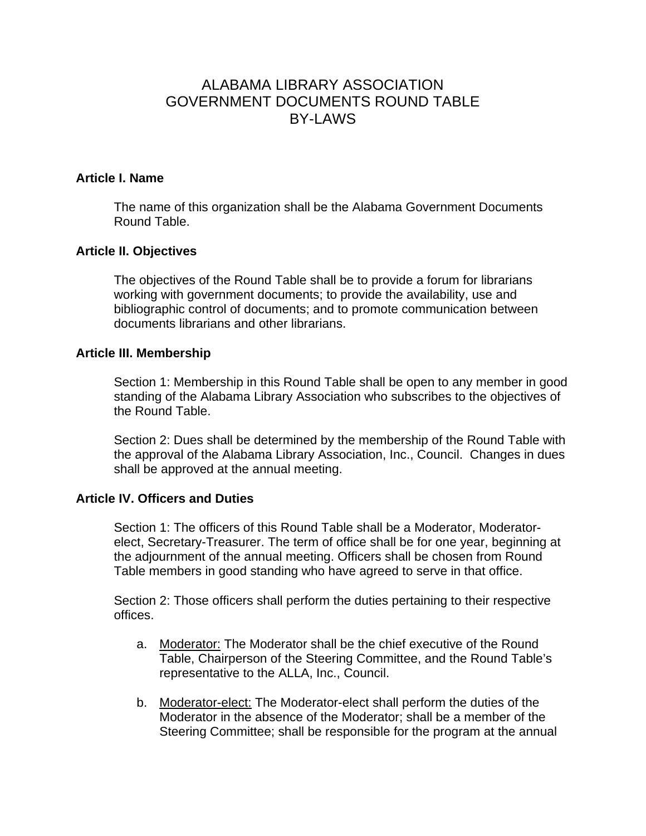# ALABAMA LIBRARY ASSOCIATION GOVERNMENT DOCUMENTS ROUND TABLE BY-LAWS

## **Article I. Name**

The name of this organization shall be the Alabama Government Documents Round Table.

## **Article II. Objectives**

The objectives of the Round Table shall be to provide a forum for librarians working with government documents; to provide the availability, use and bibliographic control of documents; and to promote communication between documents librarians and other librarians.

#### **Article III. Membership**

Section 1: Membership in this Round Table shall be open to any member in good standing of the Alabama Library Association who subscribes to the objectives of the Round Table.

Section 2: Dues shall be determined by the membership of the Round Table with the approval of the Alabama Library Association, Inc., Council. Changes in dues shall be approved at the annual meeting.

#### **Article IV. Officers and Duties**

Section 1: The officers of this Round Table shall be a Moderator, Moderatorelect, Secretary-Treasurer. The term of office shall be for one year, beginning at the adjournment of the annual meeting. Officers shall be chosen from Round Table members in good standing who have agreed to serve in that office.

Section 2: Those officers shall perform the duties pertaining to their respective offices.

- a. Moderator: The Moderator shall be the chief executive of the Round Table, Chairperson of the Steering Committee, and the Round Table's representative to the ALLA, Inc., Council.
- b. Moderator-elect: The Moderator-elect shall perform the duties of the Moderator in the absence of the Moderator; shall be a member of the Steering Committee; shall be responsible for the program at the annual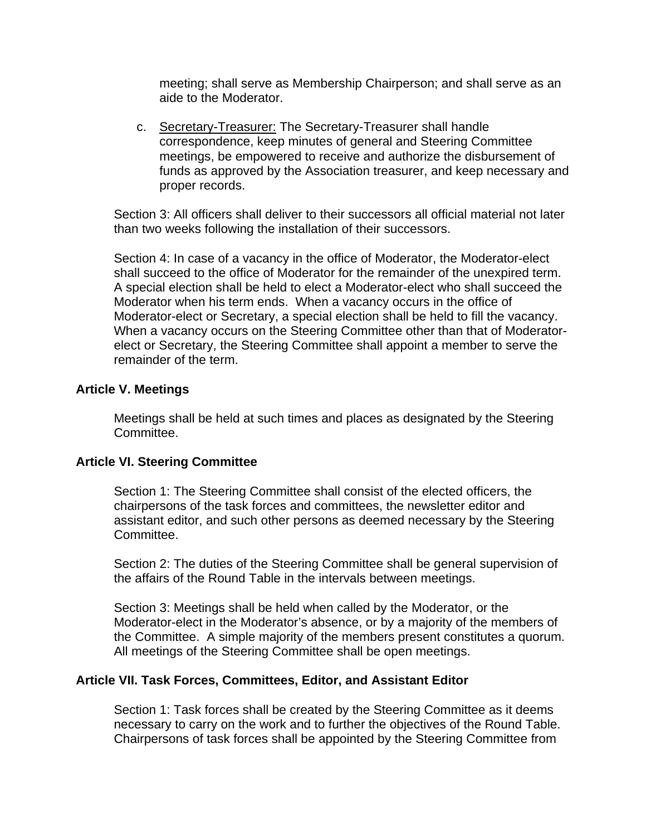meeting; shall serve as Membership Chairperson; and shall serve as an aide to the Moderator.

c. Secretary-Treasurer: The Secretary-Treasurer shall handle correspondence, keep minutes of general and Steering Committee meetings, be empowered to receive and authorize the disbursement of funds as approved by the Association treasurer, and keep necessary and proper records.

Section 3: All officers shall deliver to their successors all official material not later than two weeks following the installation of their successors.

Section 4: In case of a vacancy in the office of Moderator, the Moderator-elect shall succeed to the office of Moderator for the remainder of the unexpired term. A special election shall be held to elect a Moderator-elect who shall succeed the Moderator when his term ends. When a vacancy occurs in the office of Moderator-elect or Secretary, a special election shall be held to fill the vacancy. When a vacancy occurs on the Steering Committee other than that of Moderatorelect or Secretary, the Steering Committee shall appoint a member to serve the remainder of the term.

### **Article V. Meetings**

Meetings shall be held at such times and places as designated by the Steering Committee.

#### **Article VI. Steering Committee**

Section 1: The Steering Committee shall consist of the elected officers, the chairpersons of the task forces and committees, the newsletter editor and assistant editor, and such other persons as deemed necessary by the Steering Committee.

Section 2: The duties of the Steering Committee shall be general supervision of the affairs of the Round Table in the intervals between meetings.

Section 3: Meetings shall be held when called by the Moderator, or the Moderator-elect in the Moderator's absence, or by a majority of the members of the Committee. A simple majority of the members present constitutes a quorum. All meetings of the Steering Committee shall be open meetings.

#### **Article VII. Task Forces, Committees, Editor, and Assistant Editor**

Section 1: Task forces shall be created by the Steering Committee as it deems necessary to carry on the work and to further the objectives of the Round Table. Chairpersons of task forces shall be appointed by the Steering Committee from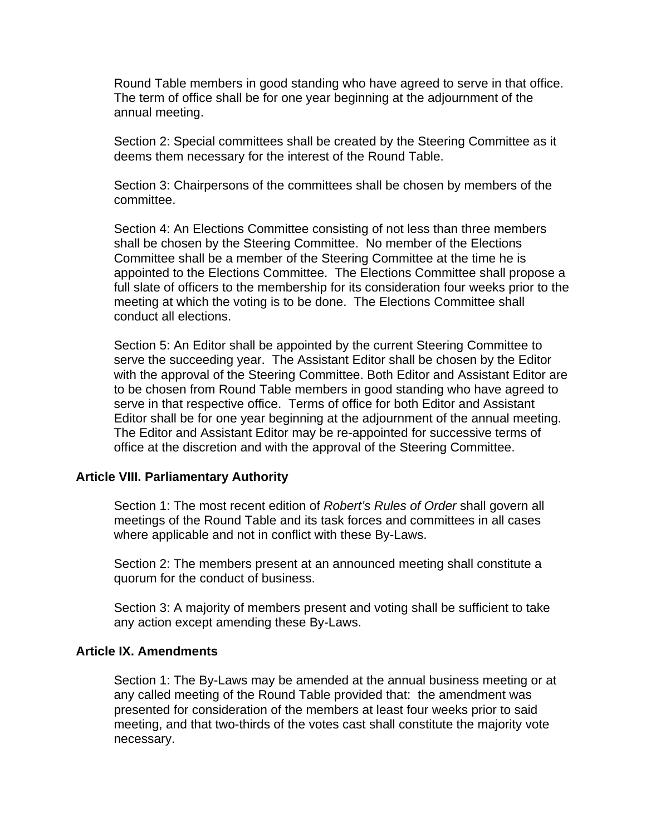Round Table members in good standing who have agreed to serve in that office. The term of office shall be for one year beginning at the adjournment of the annual meeting.

Section 2: Special committees shall be created by the Steering Committee as it deems them necessary for the interest of the Round Table.

Section 3: Chairpersons of the committees shall be chosen by members of the committee.

Section 4: An Elections Committee consisting of not less than three members shall be chosen by the Steering Committee. No member of the Elections Committee shall be a member of the Steering Committee at the time he is appointed to the Elections Committee. The Elections Committee shall propose a full slate of officers to the membership for its consideration four weeks prior to the meeting at which the voting is to be done. The Elections Committee shall conduct all elections.

Section 5: An Editor shall be appointed by the current Steering Committee to serve the succeeding year. The Assistant Editor shall be chosen by the Editor with the approval of the Steering Committee. Both Editor and Assistant Editor are to be chosen from Round Table members in good standing who have agreed to serve in that respective office. Terms of office for both Editor and Assistant Editor shall be for one year beginning at the adjournment of the annual meeting. The Editor and Assistant Editor may be re-appointed for successive terms of office at the discretion and with the approval of the Steering Committee.

## **Article VIII. Parliamentary Authority**

Section 1: The most recent edition of *Robert's Rules of Order* shall govern all meetings of the Round Table and its task forces and committees in all cases where applicable and not in conflict with these By-Laws.

Section 2: The members present at an announced meeting shall constitute a quorum for the conduct of business.

Section 3: A majority of members present and voting shall be sufficient to take any action except amending these By-Laws.

#### **Article IX. Amendments**

Section 1: The By-Laws may be amended at the annual business meeting or at any called meeting of the Round Table provided that: the amendment was presented for consideration of the members at least four weeks prior to said meeting, and that two-thirds of the votes cast shall constitute the majority vote necessary.